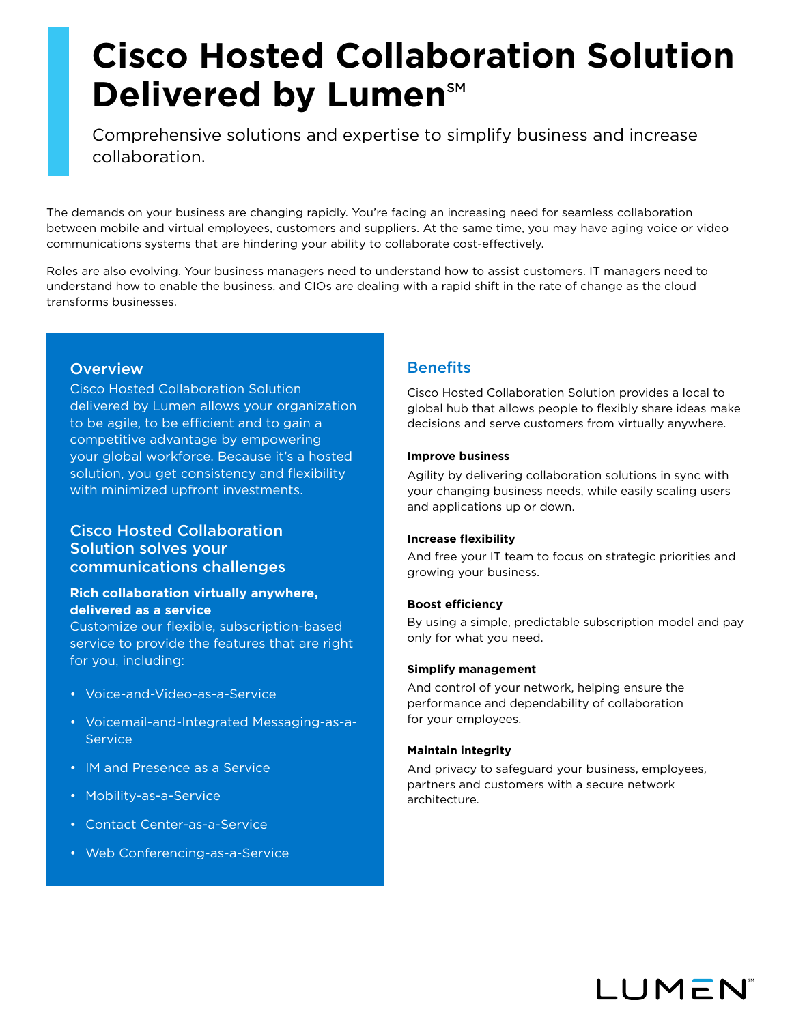# **Cisco Hosted Collaboration Solution Delivered by Lumen<sup>SM</sup>**

Comprehensive solutions and expertise to simplify business and increase collaboration.

The demands on your business are changing rapidly. You're facing an increasing need for seamless collaboration between mobile and virtual employees, customers and suppliers. At the same time, you may have aging voice or video communications systems that are hindering your ability to collaborate cost-effectively.

Roles are also evolving. Your business managers need to understand how to assist customers. IT managers need to understand how to enable the business, and CIOs are dealing with a rapid shift in the rate of change as the cloud transforms businesses.

# **Overview**

Cisco Hosted Collaboration Solution delivered by Lumen allows your organization to be agile, to be efficient and to gain a competitive advantage by empowering your global workforce. Because it's a hosted solution, you get consistency and flexibility with minimized upfront investments.

# Cisco Hosted Collaboration Solution solves your communications challenges

# **Rich collaboration virtually anywhere, delivered as a service**

Customize our flexible, subscription-based service to provide the features that are right for you, including:

- Voice-and-Video-as-a-Service
- Voicemail-and-Integrated Messaging-as-a-**Service**
- IM and Presence as a Service
- Mobility-as-a-Service
- Contact Center-as-a-Service
- Web Conferencing-as-a-Service

# **Benefits**

Cisco Hosted Collaboration Solution provides a local to global hub that allows people to flexibly share ideas make decisions and serve customers from virtually anywhere.

## **Improve business**

Agility by delivering collaboration solutions in sync with your changing business needs, while easily scaling users and applications up or down.

## **Increase flexibility**

And free your IT team to focus on strategic priorities and growing your business.

## **Boost efficiency**

By using a simple, predictable subscription model and pay only for what you need.

## **Simplify management**

And control of your network, helping ensure the performance and dependability of collaboration for your employees.

## **Maintain integrity**

And privacy to safeguard your business, employees, partners and customers with a secure network architecture.

**LUMEN**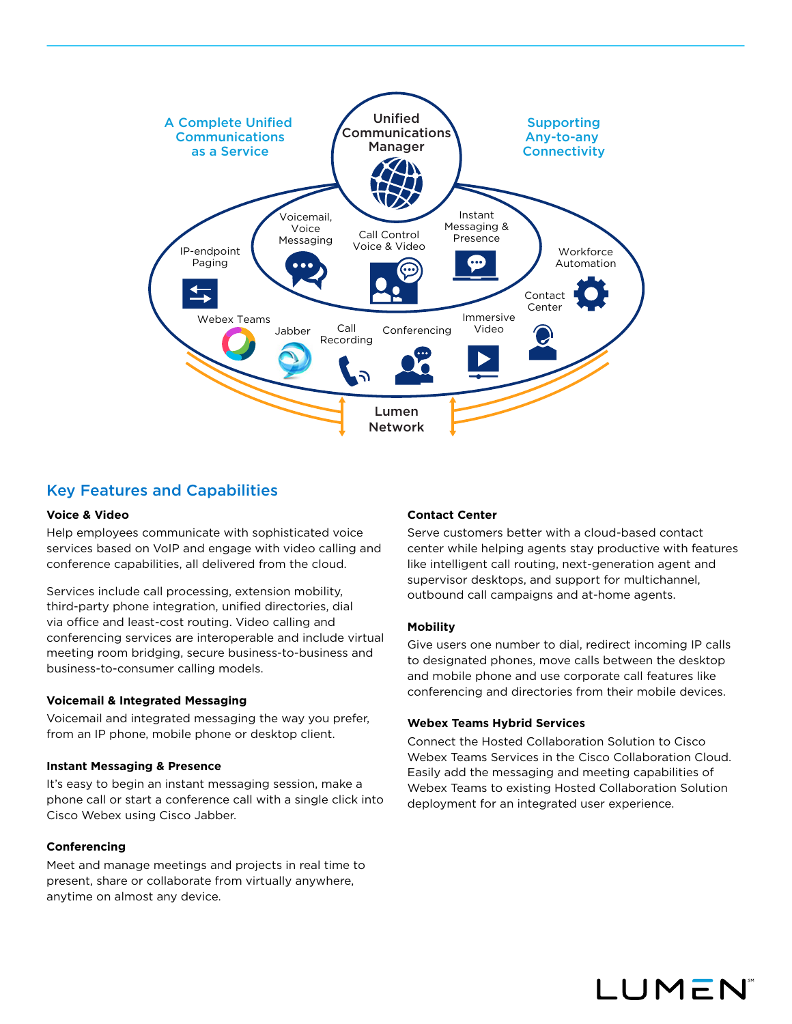

# Key Features and Capabilities

#### **Voice & Video**

Help employees communicate with sophisticated voice services based on VoIP and engage with video calling and conference capabilities, all delivered from the cloud.

Services include call processing, extension mobility, third-party phone integration, unified directories, dial via office and least-cost routing. Video calling and conferencing services are interoperable and include virtual meeting room bridging, secure business-to-business and business-to-consumer calling models.

#### **Voicemail & Integrated Messaging**

Voicemail and integrated messaging the way you prefer, from an IP phone, mobile phone or desktop client.

#### **Instant Messaging & Presence**

It's easy to begin an instant messaging session, make a phone call or start a conference call with a single click into Cisco Webex using Cisco Jabber.

#### **Conferencing**

Meet and manage meetings and projects in real time to present, share or collaborate from virtually anywhere, anytime on almost any device.

### **Contact Center**

Serve customers better with a cloud-based contact center while helping agents stay productive with features like intelligent call routing, next-generation agent and supervisor desktops, and support for multichannel, outbound call campaigns and at-home agents.

#### **Mobility**

Give users one number to dial, redirect incoming IP calls to designated phones, move calls between the desktop and mobile phone and use corporate call features like conferencing and directories from their mobile devices.

#### **Webex Teams Hybrid Services**

Connect the Hosted Collaboration Solution to Cisco Webex Teams Services in the Cisco Collaboration Cloud. Easily add the messaging and meeting capabilities of Webex Teams to existing Hosted Collaboration Solution deployment for an integrated user experience.

LUMEN